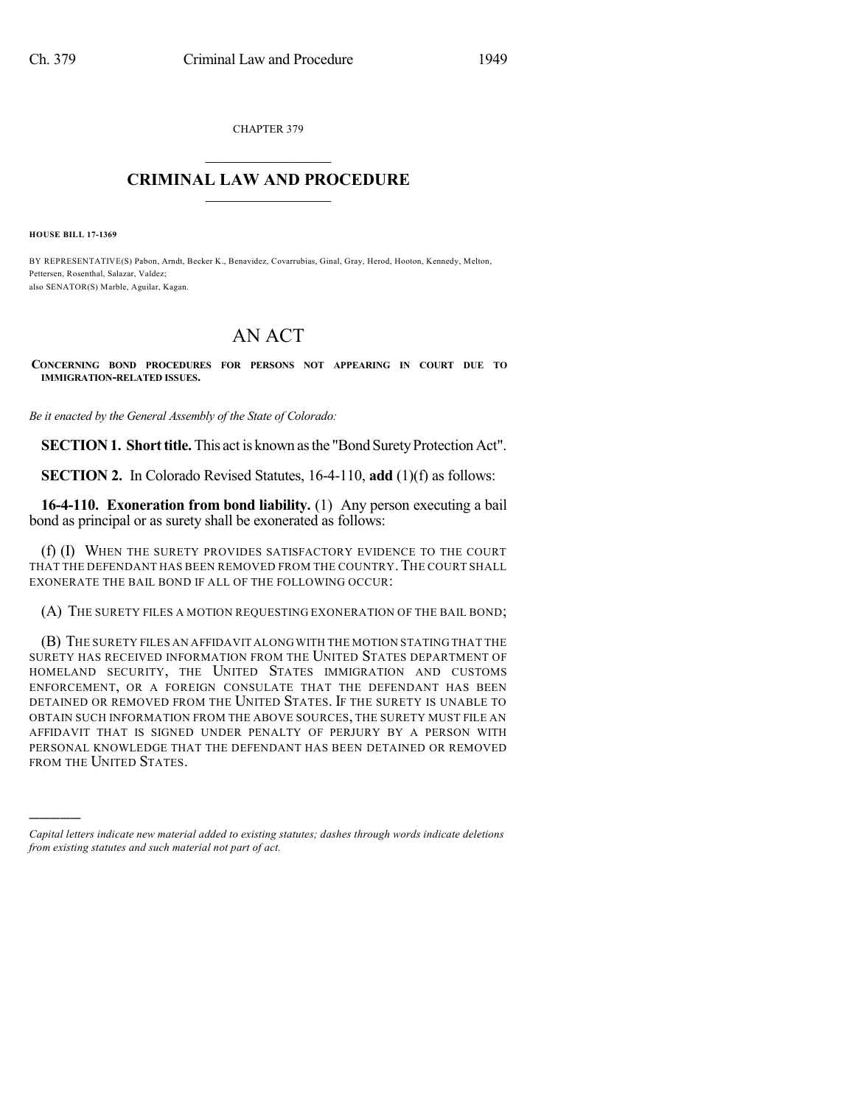CHAPTER 379

## $\mathcal{L}_\text{max}$  . The set of the set of the set of the set of the set of the set of the set of the set of the set of the set of the set of the set of the set of the set of the set of the set of the set of the set of the set **CRIMINAL LAW AND PROCEDURE**  $\frac{1}{2}$  ,  $\frac{1}{2}$  ,  $\frac{1}{2}$  ,  $\frac{1}{2}$  ,  $\frac{1}{2}$  ,  $\frac{1}{2}$  ,  $\frac{1}{2}$

**HOUSE BILL 17-1369**

)))))

BY REPRESENTATIVE(S) Pabon, Arndt, Becker K., Benavidez, Covarrubias, Ginal, Gray, Herod, Hooton, Kennedy, Melton, Pettersen, Rosenthal, Salazar, Valdez; also SENATOR(S) Marble, Aguilar, Kagan.

## AN ACT

**CONCERNING BOND PROCEDURES FOR PERSONS NOT APPEARING IN COURT DUE TO IMMIGRATION-RELATED ISSUES.**

*Be it enacted by the General Assembly of the State of Colorado:*

**SECTION 1. Short title.** This act is known as the "Bond Surety Protection Act".

**SECTION 2.** In Colorado Revised Statutes, 16-4-110, **add** (1)(f) as follows:

**16-4-110. Exoneration from bond liability.** (1) Any person executing a bail bond as principal or as surety shall be exonerated as follows:

(f) (I) WHEN THE SURETY PROVIDES SATISFACTORY EVIDENCE TO THE COURT THAT THE DEFENDANT HAS BEEN REMOVED FROM THE COUNTRY. THE COURT SHALL EXONERATE THE BAIL BOND IF ALL OF THE FOLLOWING OCCUR:

(A) THE SURETY FILES A MOTION REQUESTING EXONERATION OF THE BAIL BOND;

(B) THE SURETY FILES AN AFFIDAVIT ALONGWITH THE MOTION STATING THAT THE SURETY HAS RECEIVED INFORMATION FROM THE UNITED STATES DEPARTMENT OF HOMELAND SECURITY, THE UNITED STATES IMMIGRATION AND CUSTOMS ENFORCEMENT, OR A FOREIGN CONSULATE THAT THE DEFENDANT HAS BEEN DETAINED OR REMOVED FROM THE UNITED STATES. IF THE SURETY IS UNABLE TO OBTAIN SUCH INFORMATION FROM THE ABOVE SOURCES, THE SURETY MUST FILE AN AFFIDAVIT THAT IS SIGNED UNDER PENALTY OF PERJURY BY A PERSON WITH PERSONAL KNOWLEDGE THAT THE DEFENDANT HAS BEEN DETAINED OR REMOVED FROM THE UNITED STATES.

*Capital letters indicate new material added to existing statutes; dashes through words indicate deletions from existing statutes and such material not part of act.*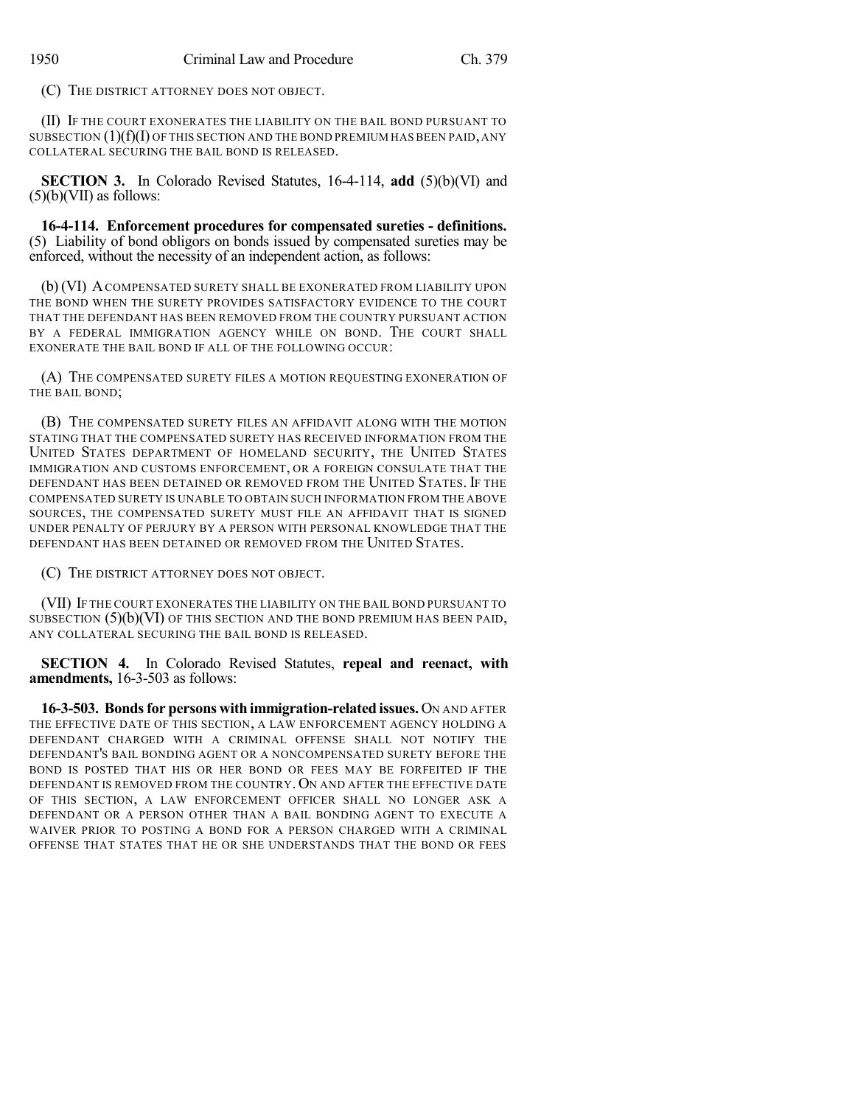(C) THE DISTRICT ATTORNEY DOES NOT OBJECT.

(II) IF THE COURT EXONERATES THE LIABILITY ON THE BAIL BOND PURSUANT TO SUBSECTION  $(1)(f)(I)$  OF THIS SECTION AND THE BOND PREMIUM HAS BEEN PAID, ANY COLLATERAL SECURING THE BAIL BOND IS RELEASED.

**SECTION 3.** In Colorado Revised Statutes, 16-4-114, **add** (5)(b)(VI) and  $(5)(b)(VII)$  as follows:

**16-4-114. Enforcement procedures for compensated sureties - definitions.** (5) Liability of bond obligors on bonds issued by compensated sureties may be enforced, without the necessity of an independent action, as follows:

(b) (VI) ACOMPENSATED SURETY SHALL BE EXONERATED FROM LIABILITY UPON THE BOND WHEN THE SURETY PROVIDES SATISFACTORY EVIDENCE TO THE COURT THAT THE DEFENDANT HAS BEEN REMOVED FROM THE COUNTRY PURSUANT ACTION BY A FEDERAL IMMIGRATION AGENCY WHILE ON BOND. THE COURT SHALL EXONERATE THE BAIL BOND IF ALL OF THE FOLLOWING OCCUR:

(A) THE COMPENSATED SURETY FILES A MOTION REQUESTING EXONERATION OF THE BAIL BOND;

(B) THE COMPENSATED SURETY FILES AN AFFIDAVIT ALONG WITH THE MOTION STATING THAT THE COMPENSATED SURETY HAS RECEIVED INFORMATION FROM THE UNITED STATES DEPARTMENT OF HOMELAND SECURITY, THE UNITED STATES IMMIGRATION AND CUSTOMS ENFORCEMENT, OR A FOREIGN CONSULATE THAT THE DEFENDANT HAS BEEN DETAINED OR REMOVED FROM THE UNITED STATES. IF THE COMPENSATED SURETY IS UNABLE TO OBTAIN SUCH INFORMATION FROM THE ABOVE SOURCES, THE COMPENSATED SURETY MUST FILE AN AFFIDAVIT THAT IS SIGNED UNDER PENALTY OF PERJURY BY A PERSON WITH PERSONAL KNOWLEDGE THAT THE DEFENDANT HAS BEEN DETAINED OR REMOVED FROM THE UNITED STATES.

(C) THE DISTRICT ATTORNEY DOES NOT OBJECT.

(VII) IF THE COURT EXONERATES THE LIABILITY ON THE BAIL BOND PURSUANT TO SUBSECTION  $(5)(b)(V)$  of this section and the bond premium has been paid, ANY COLLATERAL SECURING THE BAIL BOND IS RELEASED.

**SECTION 4.** In Colorado Revised Statutes, **repeal and reenact, with amendments,** 16-3-503 as follows:

**16-3-503. Bondsfor persons with immigration-related issues.** ON AND AFTER THE EFFECTIVE DATE OF THIS SECTION, A LAW ENFORCEMENT AGENCY HOLDING A DEFENDANT CHARGED WITH A CRIMINAL OFFENSE SHALL NOT NOTIFY THE DEFENDANT'S BAIL BONDING AGENT OR A NONCOMPENSATED SURETY BEFORE THE BOND IS POSTED THAT HIS OR HER BOND OR FEES MAY BE FORFEITED IF THE DEFENDANT IS REMOVED FROM THE COUNTRY. ON AND AFTER THE EFFECTIVE DATE OF THIS SECTION, A LAW ENFORCEMENT OFFICER SHALL NO LONGER ASK A DEFENDANT OR A PERSON OTHER THAN A BAIL BONDING AGENT TO EXECUTE A WAIVER PRIOR TO POSTING A BOND FOR A PERSON CHARGED WITH A CRIMINAL OFFENSE THAT STATES THAT HE OR SHE UNDERSTANDS THAT THE BOND OR FEES